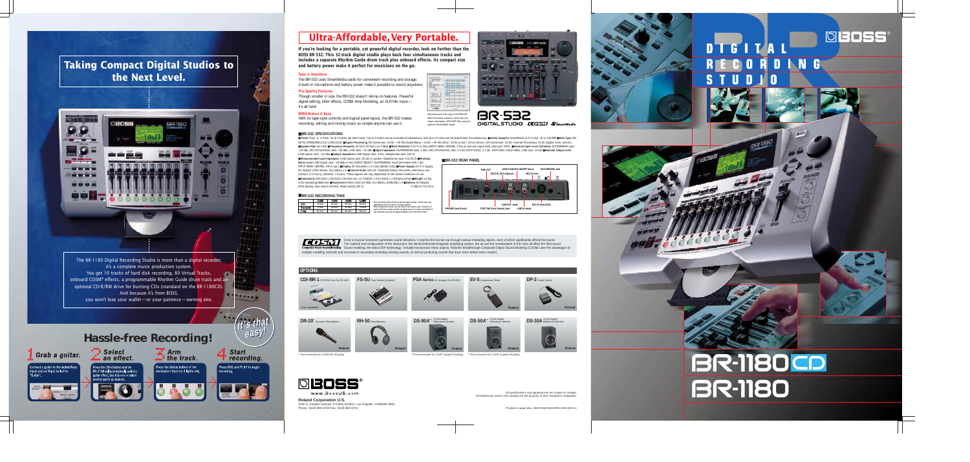All specifications and appearances are subject to change. All trademarks used in this catalog are the property of their respective companies.

**If you're looking for a portable, yet powerful digital recorder, look no further than the BOSS BR-532. This 32-track digital studio plays back four simultaneous tracks and includes a separate Rhythm Guide drum track plus onboard effects. Its compact size and battery power make it perfect for musicians on the go.**

### **Take It Anywhere**

The BR-532 uses SmartMedia cards for convenient recording and storage. A built-in microphone and battery power make it possible to record anywhere.

#### **Pro-Quality Features**

Though smaller in size, the BR-532 doesn't skimp on features. Powerful digital editing, killer effects, COSM Amp Modeling, an XLR Mic input it's all here!

#### **BOSS Makes It Easy**

With its tape-style controls and logical panel layout, the BR-532 makes recording, editing and mixing music so simple anyone can use it.



#### ■ **BR-532 REAR PANEL**

\* Recommended for COSM Speaker Modeling

Once a musical instrument generates sound vibrations, it reaches the human ear through various mediating objects, each of which significantly affects the sound. The material and configuration of the instrument, the electric/electronic/magnetic amplifying system, the air and the reverberation of the room all affect the final sound.<br>Sound modeling, the latest DSP technology, "virtua multiple modeling methods and succeeds in accurately emulating existing sounds, as well as producing sounds that have never before been created.

Tracks Track: 4, V-Track: 32 (8 V-tracks per each track) \*Up to 2 tracks can be recorded simultaneously, and up to 4 tracks can be played back simultaneously. . Useful Capacity SmartMedia (3.3 V only): 16 to 128 MB . Data (MT2) STANDARD (LV1) LONG (LV2) <sup>Signal</sup> Processing AD Conversion: 24 bit + AF-AD (Guitar/Bass) / 24 bit + AF-AD (Mic) / 24 bit (Line) / 24 bit (Simul), DA Conversion: 24 bit, Internal Processing: 32 bit (digital mixer sec Sample Rate 44.1 kHz @Frequency Response 20 Hz to 20 kHz (+1/-3 dBu) @Total Distortion 0.15 % or less (INPUT SENS: CENTER, 1 kHz at nominal output level, data type: MT2) @Nominal Input Level (Variable) GUITAR/BASS Jack: –24 dBu, MIC (Phone/XLR) Jack: –50 dBu, LINE Jack: –10 dBu ●**Input Impedance** GUITAR/BASS Jack: 1 MΩ, MIC (Phone/XLR) Jack: 2.2 kΩ (HOT-COLD), 1.1 kΩ (HOT-GND, COLD-GND), LINE Jack: 14 kΩ ●**Nominal Output Level** LINE Output Jack: –10 dBu ●**Output Impedance** LINE Output Jack: 2 kΩ, Headphones Jack: 100 Ω

●**Recommended Load Impedance** LINE Output Jack: 20 kΩ or greater, Headphones Jack: 8 to 50 Ω ●**Residual Noise Level** LINE Output Jack: –83 dBu or less (INPUT SELECT: GUITAR/BASS, input terminated with 1 kΩ, INPUT SENS: CENTER, IHF-A, typ.) ●**Display** 20 Characters x 2 Lines (Backlit LCD) ●**Power Supply** DC 9 V; Supply AC Adaptor (PSA Series), Dry battery x 6 ●**Current Draw** 200 mA \*Expected battery life under continuous use: [Carbon: 2.5 hours], [Alkaline: 7 hours] \*These figures will vary depending on the actual conditions of use. ●**Dimensions** 290.5(W) x 220.5(D) x 65.0(H) mm, 11-7/16(W) x 8-11/16(D) x 2-9/16(H) inches ●**Weight** 1.8 kg/ 4 lbs (excluding Batteries) ●**Accessories** Demo Card (32 MB), Dry Battery (LR6[AA]) x 6 ●**Options** AC Adaptor (PSA Series), Foot Switch (FS-5U), Pedal Switch (DP-2)

 $max.$ 

 $z = -1$ **The State** 











www.BossUS.com



optional SmartMedia reader.

**Taking Compact Digital Studios to the Next Level.**



The BR-1180 Digital Recording Studio is more than a digital recorder, it's a complete music production system. You get 10 tracks of hard disk recording, 80 Virtual Tracks,  $\sim$ onboard COSM® effects, a programmable Rhythm Guide drum track and an optional CD-R/RW drive for burning CDs (standard on the BR-1180CD). And because it's from BOSS, you won't lose your wallet—or your patience—owning one.

## **Hassle-free Recording!**





**It's that** 

 $\mathbf{I}$ t $^{\prime}$ s that $^{\prime}$ 

.....

**easy!**

## **Ultra-Affordable, Very Portable.**

#### ■ **BR-532 SPECIFICATIONS**

8 min. 9 min. 12 min. 16 min. 19 min. 24 min. 32 min. 39 min. 49 min. 65 min. 78 min. 98 min.

385)

 $\Rightarrow$ 

\*The recording times shown at left are approximate. Times may vary depending on the number of songs created. \*Recording times shown are the total for all tracks used. Therefore, if each of the four tracks contain an equal amount of data, the length of the resulting song will be approximately 1/4 of the time shown.



■ **BR-532 RECORDING TIME**



# DTGITAL RECORDING

**DBOSS** 

# **BR-1180CD BR-1180**

**Roland Corporation U.S.**

5100 S. Eastern Avenue, P.O.Box 910921, Los Angeles, CA90091-0921 Phone: (323) 890-3700 Fax: (323) 890-3701